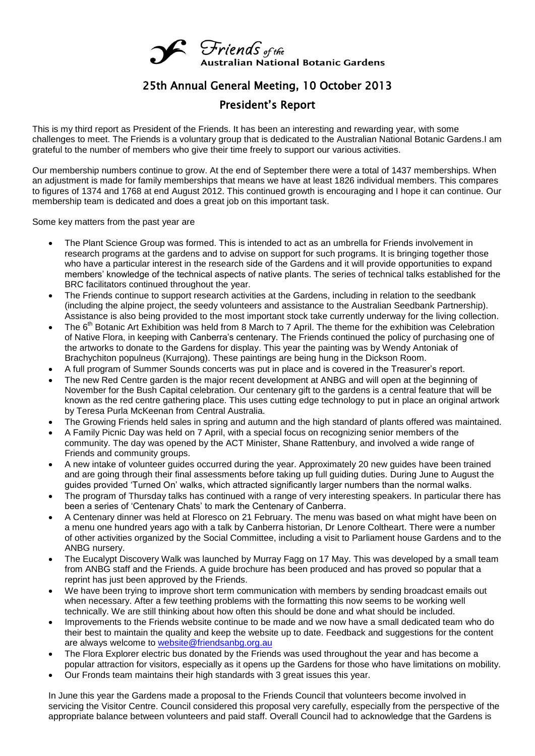

## 25th Annual General Meeting, 10 October 2013

## President's Report

This is my third report as President of the Friends. It has been an interesting and rewarding year, with some challenges to meet. The Friends is a voluntary group that is dedicated to the Australian National Botanic Gardens.I am grateful to the number of members who give their time freely to support our various activities.

Our membership numbers continue to grow. At the end of September there were a total of 1437 memberships. When an adjustment is made for family memberships that means we have at least 1826 individual members. This compares to figures of 1374 and 1768 at end August 2012. This continued growth is encouraging and I hope it can continue. Our membership team is dedicated and does a great job on this important task.

Some key matters from the past year are

- The Plant Science Group was formed. This is intended to act as an umbrella for Friends involvement in research programs at the gardens and to advise on support for such programs. It is bringing together those who have a particular interest in the research side of the Gardens and it will provide opportunities to expand members' knowledge of the technical aspects of native plants. The series of technical talks established for the BRC facilitators continued throughout the year.
- The Friends continue to support research activities at the Gardens, including in relation to the seedbank (including the alpine project, the seedy volunteers and assistance to the Australian Seedbank Partnership). Assistance is also being provided to the most important stock take currently underway for the living collection.
- The  $6<sup>th</sup>$  Botanic Art Exhibition was held from 8 March to 7 April. The theme for the exhibition was Celebration of Native Flora, in keeping with Canberra's centenary. The Friends continued the policy of purchasing one of the artworks to donate to the Gardens for display. This year the painting was by Wendy Antoniak of Brachychiton populneus (Kurrajong). These paintings are being hung in the Dickson Room.
- A full program of Summer Sounds concerts was put in place and is covered in the Treasurer's report.
- The new Red Centre garden is the major recent development at ANBG and will open at the beginning of November for the Bush Capital celebration. Our centenary gift to the gardens is a central feature that will be known as the red centre gathering place. This uses cutting edge technology to put in place an original artwork by Teresa Purla McKeenan from Central Australia.
- The Growing Friends held sales in spring and autumn and the high standard of plants offered was maintained.
- A Family Picnic Day was held on 7 April, with a special focus on recognizing senior members of the community. The day was opened by the ACT Minister, Shane Rattenbury, and involved a wide range of Friends and community groups.
- A new intake of volunteer guides occurred during the year. Approximately 20 new guides have been trained and are going through their final assessments before taking up full guiding duties. During June to August the guides provided 'Turned On' walks, which attracted significantly larger numbers than the normal walks.
- The program of Thursday talks has continued with a range of very interesting speakers. In particular there has been a series of 'Centenary Chats' to mark the Centenary of Canberra.
- A Centenary dinner was held at Floresco on 21 February. The menu was based on what might have been on a menu one hundred years ago with a talk by Canberra historian, Dr Lenore Coltheart. There were a number of other activities organized by the Social Committee, including a visit to Parliament house Gardens and to the ANBG nursery.
- The Eucalypt Discovery Walk was launched by Murray Fagg on 17 May. This was developed by a small team from ANBG staff and the Friends. A guide brochure has been produced and has proved so popular that a reprint has just been approved by the Friends.
- We have been trying to improve short term communication with members by sending broadcast emails out when necessary. After a few teething problems with the formatting this now seems to be working well technically. We are still thinking about how often this should be done and what should be included.
- Improvements to the Friends website continue to be made and we now have a small dedicated team who do their best to maintain the quality and keep the website up to date. Feedback and suggestions for the content are always welcome to [website@friendsanbg.org.au](mailto:website@friendsanbg.org.au)
- The Flora Explorer electric bus donated by the Friends was used throughout the year and has become a popular attraction for visitors, especially as it opens up the Gardens for those who have limitations on mobility.
- Our Fronds team maintains their high standards with 3 great issues this year.

In June this year the Gardens made a proposal to the Friends Council that volunteers become involved in servicing the Visitor Centre. Council considered this proposal very carefully, especially from the perspective of the appropriate balance between volunteers and paid staff. Overall Council had to acknowledge that the Gardens is